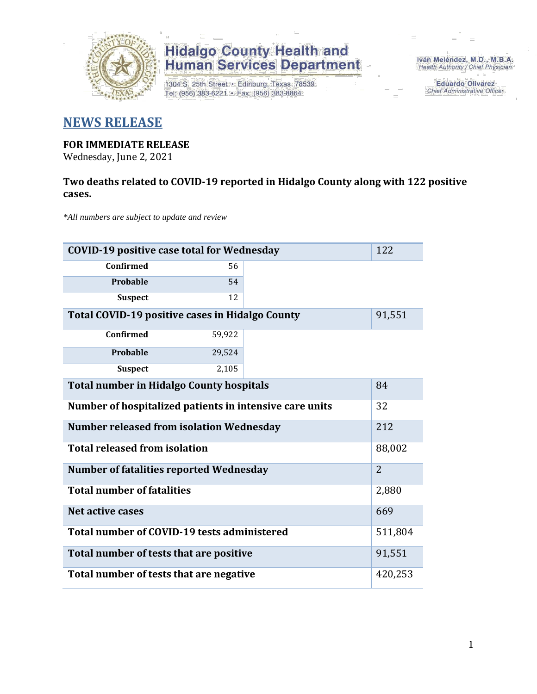

## **Hidalgo County Health and<br>Human Services Department**

1304 S. 25th Street · Edinburg, Texas 78539 Tel: (956) 383-6221 · Fax: (956) 383-8864

Iván Meléndez, M.D., M.B.A. Health Authority / Chief Physician

> **Eduardo Olivarez** Chief Administrative Officer

### **NEWS RELEASE**

### **FOR IMMEDIATE RELEASE**

Wednesday, June 2, 2021

### **Two deaths related to COVID-19 reported in Hidalgo County along with 122 positive cases.**

*\*All numbers are subject to update and review*

| <b>COVID-19 positive case total for Wednesday</b>       |        |  |  |  |
|---------------------------------------------------------|--------|--|--|--|
| <b>Confirmed</b>                                        | 56     |  |  |  |
| Probable                                                | 54     |  |  |  |
| <b>Suspect</b>                                          | 12     |  |  |  |
| Total COVID-19 positive cases in Hidalgo County         | 91,551 |  |  |  |
| <b>Confirmed</b>                                        | 59,922 |  |  |  |
| <b>Probable</b>                                         | 29,524 |  |  |  |
| <b>Suspect</b>                                          | 2,105  |  |  |  |
| <b>Total number in Hidalgo County hospitals</b>         |        |  |  |  |
| Number of hospitalized patients in intensive care units |        |  |  |  |
| <b>Number released from isolation Wednesday</b>         |        |  |  |  |
| <b>Total released from isolation</b>                    |        |  |  |  |
| <b>Number of fatalities reported Wednesday</b>          |        |  |  |  |
| <b>Total number of fatalities</b>                       |        |  |  |  |
| Net active cases                                        |        |  |  |  |
| Total number of COVID-19 tests administered             |        |  |  |  |
| Total number of tests that are positive                 |        |  |  |  |
| Total number of tests that are negative                 |        |  |  |  |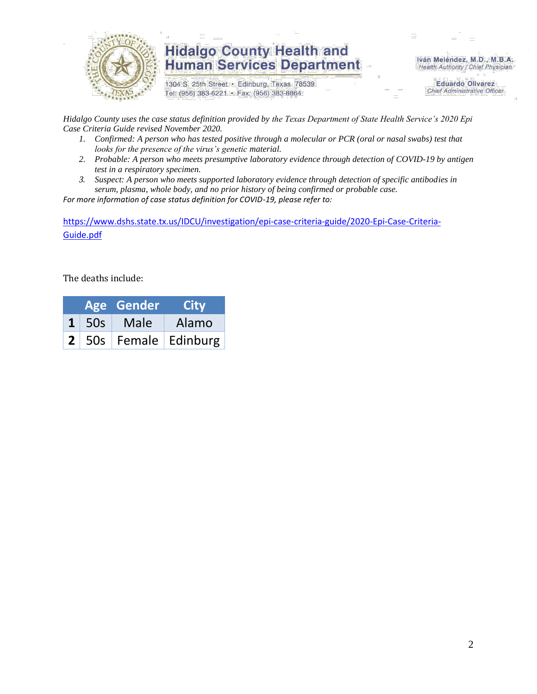

## **Hidalgo County Health and Human Services Department**

1304 S. 25th Street · Edinburg, Texas 78539 Tel: (956) 383-6221 · Fax: (956) 383-8864

Iván Meléndez, M.D., M.B.A. Health Authority / Chief Physician

> **Eduardo Olivarez Chief Administrative Officer**

*Hidalgo County uses the case status definition provided by the Texas Department of State Health Service's 2020 Epi Case Criteria Guide revised November 2020.*

- *1. Confirmed: A person who has tested positive through a molecular or PCR (oral or nasal swabs) test that looks for the presence of the virus's genetic material.*
- *2. Probable: A person who meets presumptive laboratory evidence through detection of COVID-19 by antigen test in a respiratory specimen.*
- *3. Suspect: A person who meets supported laboratory evidence through detection of specific antibodies in serum, plasma, whole body, and no prior history of being confirmed or probable case.*

*For more information of case status definition for COVID-19, please refer to:*

[https://www.dshs.state.tx.us/IDCU/investigation/epi-case-criteria-guide/2020-Epi-Case-Criteria-](https://www.dshs.state.tx.us/IDCU/investigation/epi-case-criteria-guide/2020-Epi-Case-Criteria-Guide.pdf)[Guide.pdf](https://www.dshs.state.tx.us/IDCU/investigation/epi-case-criteria-guide/2020-Epi-Case-Criteria-Guide.pdf)

The deaths include:

|  | Age Gender             | <b>City</b>                         |
|--|------------------------|-------------------------------------|
|  | $1 \mid 50s \mid$ Male | Alamo                               |
|  |                        | $\vert$ 2   50s   Female   Edinburg |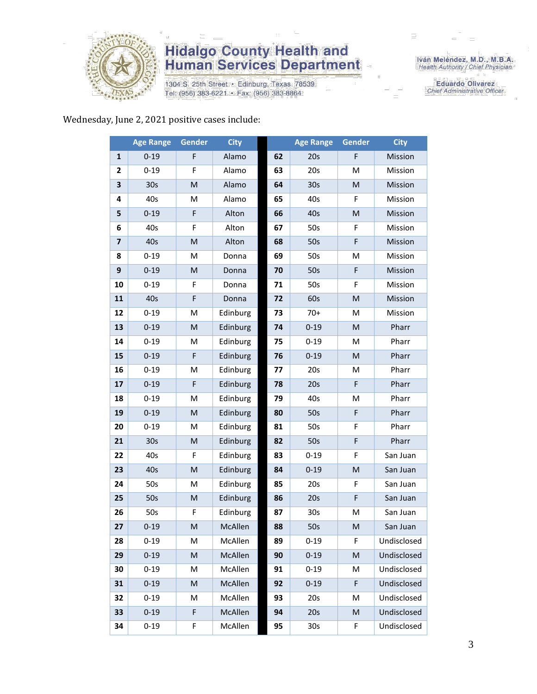

## **Hidalgo County Health and<br>Human Services Department**

1304 S. 25th Street · Edinburg, Texas 78539 Tel: (956) 383-6221 · Fax: (956) 383-8864

Iván Meléndez, M.D., M.B.A.<br>Health Authority / Chief Physician

**Eduardo Olivarez** Chief Administrative Officer

#### Wednesday, June 2, 2021 positive cases include:

|                         | <b>Age Range</b> | Gender                                                                                                     | <b>City</b> |    | <b>Age Range</b> | Gender                                                                                                     | <b>City</b> |
|-------------------------|------------------|------------------------------------------------------------------------------------------------------------|-------------|----|------------------|------------------------------------------------------------------------------------------------------------|-------------|
| $\mathbf{1}$            | $0 - 19$         | F                                                                                                          | Alamo       | 62 | 20s              | F                                                                                                          | Mission     |
| 2                       | $0 - 19$         | F                                                                                                          | Alamo       | 63 | 20s              | M                                                                                                          | Mission     |
| 3                       | 30 <sub>s</sub>  | $\mathsf{M}% _{T}=\mathsf{M}_{T}\!\left( a,b\right) ,\ \mathsf{M}_{T}=\mathsf{M}_{T}\!\left( a,b\right) ,$ | Alamo       | 64 | 30 <sub>s</sub>  | $\mathsf{M}% _{T}=\mathsf{M}_{T}\!\left( a,b\right) ,\ \mathsf{M}_{T}=\mathsf{M}_{T}\!\left( a,b\right) ,$ | Mission     |
| 4                       | 40s              | М                                                                                                          | Alamo       | 65 | 40s              | F                                                                                                          | Mission     |
| 5                       | $0 - 19$         | F                                                                                                          | Alton       | 66 | 40s              | M                                                                                                          | Mission     |
| 6                       | 40s              | F                                                                                                          | Alton       | 67 | 50s              | F                                                                                                          | Mission     |
| $\overline{\mathbf{z}}$ | 40s              | M                                                                                                          | Alton       | 68 | 50s              | $\mathsf F$                                                                                                | Mission     |
| 8                       | $0 - 19$         | M                                                                                                          | Donna       | 69 | 50s              | M                                                                                                          | Mission     |
| 9                       | $0 - 19$         | M                                                                                                          | Donna       | 70 | 50s              | $\mathsf F$                                                                                                | Mission     |
| 10                      | $0 - 19$         | F                                                                                                          | Donna       | 71 | 50s              | F                                                                                                          | Mission     |
| 11                      | 40s              | F                                                                                                          | Donna       | 72 | 60s              | $\mathsf{M}% _{T}=\mathsf{M}_{T}\!\left( a,b\right) ,\ \mathsf{M}_{T}=\mathsf{M}_{T}\!\left( a,b\right) ,$ | Mission     |
| 12                      | $0 - 19$         | M                                                                                                          | Edinburg    | 73 | $70+$            | M                                                                                                          | Mission     |
| 13                      | $0 - 19$         | M                                                                                                          | Edinburg    | 74 | $0 - 19$         | M                                                                                                          | Pharr       |
| 14                      | $0 - 19$         | M                                                                                                          | Edinburg    | 75 | $0 - 19$         | M                                                                                                          | Pharr       |
| 15                      | $0 - 19$         | F                                                                                                          | Edinburg    | 76 | $0 - 19$         | M                                                                                                          | Pharr       |
| 16                      | $0 - 19$         | M                                                                                                          | Edinburg    | 77 | 20s              | M                                                                                                          | Pharr       |
| 17                      | $0 - 19$         | F                                                                                                          | Edinburg    | 78 | 20s              | F                                                                                                          | Pharr       |
| 18                      | $0 - 19$         | M                                                                                                          | Edinburg    | 79 | 40s              | M                                                                                                          | Pharr       |
| 19                      | $0 - 19$         | M                                                                                                          | Edinburg    | 80 | 50s              | $\mathsf F$                                                                                                | Pharr       |
| 20                      | $0 - 19$         | M                                                                                                          | Edinburg    | 81 | 50s              | F                                                                                                          | Pharr       |
| 21                      | 30s              | M                                                                                                          | Edinburg    | 82 | 50s              | $\mathsf F$                                                                                                | Pharr       |
| 22                      | 40s              | F                                                                                                          | Edinburg    | 83 | $0 - 19$         | F                                                                                                          | San Juan    |
| 23                      | 40s              | M                                                                                                          | Edinburg    | 84 | $0 - 19$         | $\mathsf{M}% _{T}=\mathsf{M}_{T}\!\left( a,b\right) ,\ \mathsf{M}_{T}=\mathsf{M}_{T}\!\left( a,b\right) ,$ | San Juan    |
| 24                      | 50s              | M                                                                                                          | Edinburg    | 85 | 20s              | F                                                                                                          | San Juan    |
| 25                      | 50s              | M                                                                                                          | Edinburg    | 86 | 20s              | F                                                                                                          | San Juan    |
| 26                      | 50s              | F                                                                                                          | Edinburg    | 87 | 30 <sub>s</sub>  | M                                                                                                          | San Juan    |
| 27                      | $0 - 19$         | M                                                                                                          | McAllen     | 88 | 50s              | ${\sf M}$                                                                                                  | San Juan    |
| 28                      | $0 - 19$         | М                                                                                                          | McAllen     | 89 | $0 - 19$         | F.                                                                                                         | Undisclosed |
| 29                      | $0 - 19$         | M                                                                                                          | McAllen     | 90 | $0 - 19$         | $\mathsf{M}% _{T}=\mathsf{M}_{T}\!\left( a,b\right) ,\ \mathsf{M}_{T}=\mathsf{M}_{T}\!\left( a,b\right) ,$ | Undisclosed |
| 30                      | $0 - 19$         | M                                                                                                          | McAllen     | 91 | $0 - 19$         | M                                                                                                          | Undisclosed |
| 31                      | $0 - 19$         | M                                                                                                          | McAllen     | 92 | $0 - 19$         | $\mathsf F$                                                                                                | Undisclosed |
| 32                      | $0 - 19$         | M                                                                                                          | McAllen     | 93 | 20s              | M                                                                                                          | Undisclosed |
| 33                      | $0 - 19$         | F                                                                                                          | McAllen     | 94 | 20s              | $\mathsf{M}% _{T}=\mathsf{M}_{T}\!\left( a,b\right) ,\ \mathsf{M}_{T}=\mathsf{M}_{T}\!\left( a,b\right) ,$ | Undisclosed |
| 34                      | $0 - 19$         | F                                                                                                          | McAllen     | 95 | 30 <sub>s</sub>  | F                                                                                                          | Undisclosed |